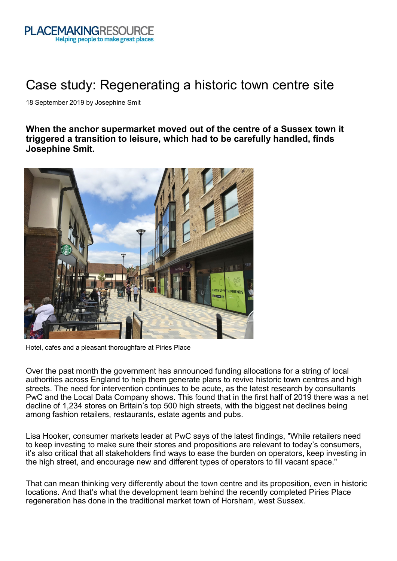

## Case study: Regenerating a historic town centre site

18 September 2019 by Josephine Smit

**When the anchor supermarket moved out of the centre of a Sussex town it triggered a transition to leisure, which had to be carefully handled, finds Josephine Smit.**



Hotel, cafes and a pleasant thoroughfare at Piries Place

Over the past month the government has announced funding allocations for a string of local authorities across England to help them generate plans to revive historic town centres and high streets. The need for intervention continues to be acute, as the latest research by consultants PwC and the Local Data Company shows. This found that in the first half of 2019 there was a net decline of 1,234 stores on Britain's top 500 high streets, with the biggest net declines being among fashion retailers, restaurants, estate agents and pubs.

Lisa Hooker, consumer markets leader at PwC says of the latest findings, "While retailers need to keep investing to make sure their stores and propositions are relevant to today's consumers, it's also critical that all stakeholders find ways to ease the burden on operators, keep investing in the high street, and encourage new and different types of operators to fill vacant space."

That can mean thinking very differently about the town centre and its proposition, even in historic locations. And that's what the development team behind the recently completed Piries Place regeneration has done in the traditional market town of Horsham, west Sussex.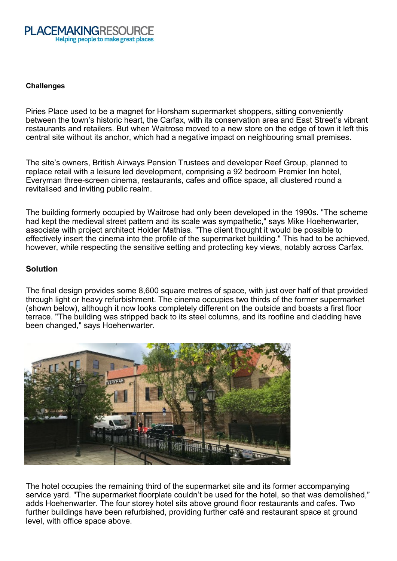

## **Challenges**

Piries Place used to be a magnet for Horsham supermarket shoppers, sitting conveniently between the town's historic heart, the Carfax, with its conservation area and East Street's vibrant restaurants and retailers. But when Waitrose moved to a new store on the edge of town it left this central site without its anchor, which had a negative impact on neighbouring small premises.

The site's owners, British Airways Pension Trustees and developer Reef Group, planned to replace retail with a leisure led development, comprising a 92 bedroom Premier Inn hotel, Everyman three-screen cinema, restaurants, cafes and office space, all clustered round a revitalised and inviting public realm.

The building formerly occupied by Waitrose had only been developed in the 1990s. "The scheme had kept the medieval street pattern and its scale was sympathetic," says Mike Hoehenwarter, associate with project architect Holder Mathias. "The client thought it would be possible to effectively insert the cinema into the profile of the supermarket building." This had to be achieved, however, while respecting the sensitive setting and protecting key views, notably across Carfax.

## **Solution**

The final design provides some 8,600 square metres of space, with just over half of that provided through light or heavy refurbishment. The cinema occupies two thirds of the former supermarket (shown below), although it now looks completely different on the outside and boasts a first floor terrace. "The building was stripped back to its steel columns, and its roofline and cladding have been changed," says Hoehenwarter.



The hotel occupies the remaining third of the supermarket site and its former accompanying service yard. "The supermarket floorplate couldn't be used for the hotel, so that was demolished," adds Hoehenwarter. The four storey hotel sits above ground floor restaurants and cafes. Two further buildings have been refurbished, providing further café and restaurant space at ground level, with office space above.